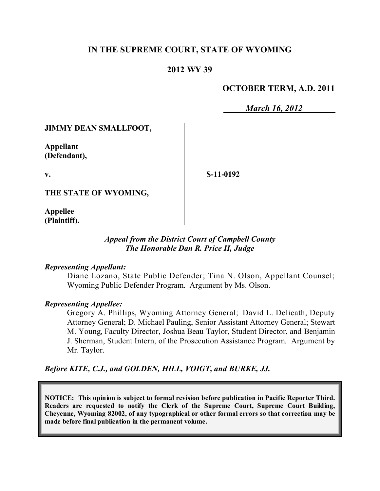## **IN THE SUPREME COURT, STATE OF WYOMING**

## **2012 WY 39**

## **OCTOBER TERM, A.D. 2011**

*March 16, 2012*

#### **JIMMY DEAN SMALLFOOT,**

**Appellant (Defendant),**

**v.**

**S-11-0192**

**THE STATE OF WYOMING,**

**Appellee (Plaintiff).**

## *Appeal from the District Court of Campbell County The Honorable Dan R. Price II, Judge*

#### *Representing Appellant:*

Diane Lozano, State Public Defender; Tina N. Olson, Appellant Counsel; Wyoming Public Defender Program. Argument by Ms. Olson.

#### *Representing Appellee:*

Gregory A. Phillips, Wyoming Attorney General; David L. Delicath, Deputy Attorney General; D. Michael Pauling, Senior Assistant Attorney General; Stewart M. Young, Faculty Director, Joshua Beau Taylor, Student Director, and Benjamin J. Sherman, Student Intern, of the Prosecution Assistance Program. Argument by Mr. Taylor.

*Before KITE, C.J., and GOLDEN, HILL, VOIGT, and BURKE, JJ.*

**NOTICE: This opinion is subject to formal revision before publication in Pacific Reporter Third. Readers are requested to notify the Clerk of the Supreme Court, Supreme Court Building, Cheyenne, Wyoming 82002, of any typographical or other formal errors so that correction may be made before final publication in the permanent volume.**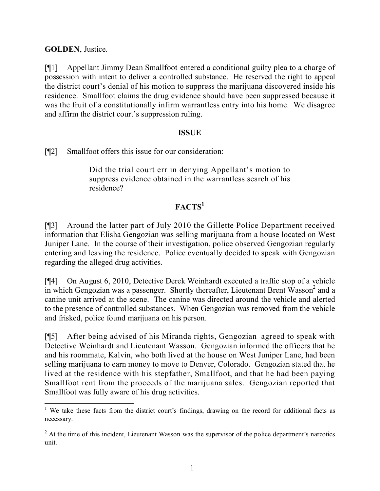**GOLDEN**, Justice.

[¶1] Appellant Jimmy Dean Smallfoot entered a conditional guilty plea to a charge of possession with intent to deliver a controlled substance. He reserved the right to appeal the district court's denial of his motion to suppress the marijuana discovered inside his residence. Smallfoot claims the drug evidence should have been suppressed because it was the fruit of a constitutionally infirm warrantless entry into his home. We disagree and affirm the district court's suppression ruling.

## **ISSUE**

[¶2] Smallfoot offers this issue for our consideration:

Did the trial court err in denying Appellant's motion to suppress evidence obtained in the warrantless search of his residence?

# **FACTS<sup>1</sup>**

[¶3] Around the latter part of July 2010 the Gillette Police Department received information that Elisha Gengozian was selling marijuana from a house located on West Juniper Lane. In the course of their investigation, police observed Gengozian regularly entering and leaving the residence. Police eventually decided to speak with Gengozian regarding the alleged drug activities.

[¶4] On August 6, 2010, Detective Derek Weinhardt executed a traffic stop of a vehicle in which Gengozian was a passenger. Shortly thereafter, Lieutenant Brent Wasson<sup>2</sup> and a canine unit arrived at the scene. The canine was directed around the vehicle and alerted to the presence of controlled substances. When Gengozian was removed from the vehicle and frisked, police found marijuana on his person.

[¶5] After being advised of his Miranda rights, Gengozian agreed to speak with Detective Weinhardt and Lieutenant Wasson. Gengozian informed the officers that he and his roommate, Kalvin, who both lived at the house on West Juniper Lane, had been selling marijuana to earn money to move to Denver, Colorado. Gengozian stated that he lived at the residence with his stepfather, Smallfoot, and that he had been paying Smallfoot rent from the proceeds of the marijuana sales. Gengozian reported that Smallfoot was fully aware of his drug activities.

 $\overline{a}$ <sup>1</sup> We take these facts from the district court's findings, drawing on the record for additional facts as necessary.

 $2<sup>2</sup>$  At the time of this incident, Lieutenant Wasson was the supervisor of the police department's narcotics unit.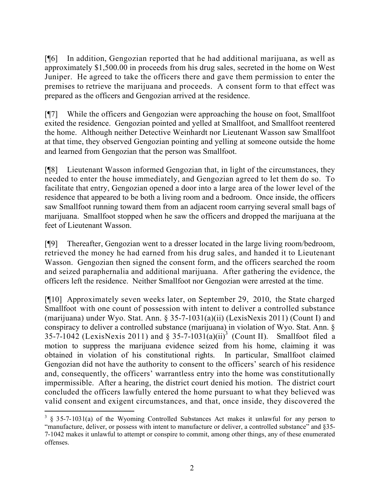[¶6] In addition, Gengozian reported that he had additional marijuana, as well as approximately \$1,500.00 in proceeds from his drug sales, secreted in the home on West Juniper. He agreed to take the officers there and gave them permission to enter the premises to retrieve the marijuana and proceeds. A consent form to that effect was prepared as the officers and Gengozian arrived at the residence.

[¶7] While the officers and Gengozian were approaching the house on foot, Smallfoot exited the residence. Gengozian pointed and yelled at Smallfoot, and Smallfoot reentered the home. Although neither Detective Weinhardt nor Lieutenant Wasson saw Smallfoot at that time, they observed Gengozian pointing and yelling at someone outside the home and learned from Gengozian that the person was Smallfoot.

[¶8] Lieutenant Wasson informed Gengozian that, in light of the circumstances, they needed to enter the house immediately, and Gengozian agreed to let them do so. To facilitate that entry, Gengozian opened a door into a large area of the lower level of the residence that appeared to be both a living room and a bedroom. Once inside, the officers saw Smallfoot running toward them from an adjacent room carrying several small bags of marijuana. Smallfoot stopped when he saw the officers and dropped the marijuana at the feet of Lieutenant Wasson.

[¶9] Thereafter, Gengozian went to a dresser located in the large living room/bedroom, retrieved the money he had earned from his drug sales, and handed it to Lieutenant Wasson. Gengozian then signed the consent form, and the officers searched the room and seized paraphernalia and additional marijuana. After gathering the evidence, the officers left the residence. Neither Smallfoot nor Gengozian were arrested at the time.

[¶10] Approximately seven weeks later, on September 29, 2010, the State charged Smallfoot with one count of possession with intent to deliver a controlled substance (marijuana) under Wyo. Stat. Ann. § 35-7-1031(a)(ii) (LexisNexis 2011) (Count I) and conspiracy to deliver a controlled substance (marijuana) in violation of Wyo. Stat. Ann. § 35-7-1042 (LexisNexis 2011) and § 35-7-1031(a)(ii)<sup>3</sup> (Count II). Smallfoot filed a motion to suppress the marijuana evidence seized from his home, claiming it was obtained in violation of his constitutional rights. In particular, Smallfoot claimed Gengozian did not have the authority to consent to the officers' search of his residence and, consequently, the officers' warrantless entry into the home was constitutionally impermissible. After a hearing, the district court denied his motion. The district court concluded the officers lawfully entered the home pursuant to what they believed was valid consent and exigent circumstances, and that, once inside, they discovered the

 $\overline{a}$ 

 $3 \times 3$  5-7-1031(a) of the Wyoming Controlled Substances Act makes it unlawful for any person to "manufacture, deliver, or possess with intent to manufacture or deliver, a controlled substance" and §35-7-1042 makes it unlawful to attempt or conspire to commit, among other things, any of these enumerated offenses.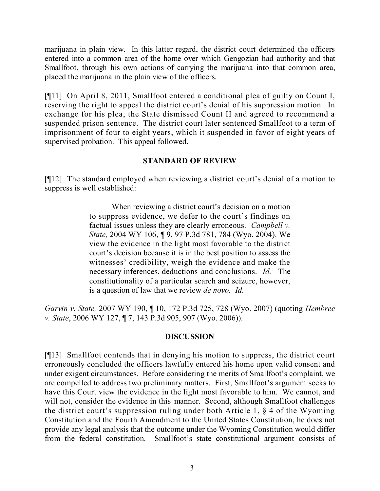marijuana in plain view. In this latter regard, the district court determined the officers entered into a common area of the home over which Gengozian had authority and that Smallfoot, through his own actions of carrying the marijuana into that common area, placed the marijuana in the plain view of the officers.

[¶11] On April 8, 2011, Smallfoot entered a conditional plea of guilty on Count I, reserving the right to appeal the district court's denial of his suppression motion. In exchange for his plea, the State dismissed Count II and agreed to recommend a suspended prison sentence. The district court later sentenced Smallfoot to a term of imprisonment of four to eight years, which it suspended in favor of eight years of supervised probation. This appeal followed.

## **STANDARD OF REVIEW**

[¶12] The standard employed when reviewing a district court's denial of a motion to suppress is well established:

> When reviewing a district court's decision on a motion to suppress evidence, we defer to the court's findings on factual issues unless they are clearly erroneous. *Campbell v. State,* 2004 WY 106, ¶ 9, 97 P.3d 781, 784 (Wyo. 2004). We view the evidence in the light most favorable to the district court's decision because it is in the best position to assess the witnesses' credibility, weigh the evidence and make the necessary inferences, deductions and conclusions. *Id.* The constitutionality of a particular search and seizure, however, is a question of law that we review *de novo. Id*.

*Garvin v. State,* 2007 WY 190, ¶ 10, 172 P.3d 725, 728 (Wyo. 2007) (quoting *Hembree v. State*, 2006 WY 127, ¶ 7, 143 P.3d 905, 907 (Wyo. 2006)).

## **DISCUSSION**

[¶13] Smallfoot contends that in denying his motion to suppress, the district court erroneously concluded the officers lawfully entered his home upon valid consent and under exigent circumstances. Before considering the merits of Smallfoot's complaint, we are compelled to address two preliminary matters. First, Smallfoot's argument seeks to have this Court view the evidence in the light most favorable to him. We cannot, and will not, consider the evidence in this manner. Second, although Smallfoot challenges the district court's suppression ruling under both Article 1, § 4 of the Wyoming Constitution and the Fourth Amendment to the United States Constitution, he does not provide any legal analysis that the outcome under the Wyoming Constitution would differ from the federal constitution. Smallfoot's state constitutional argument consists of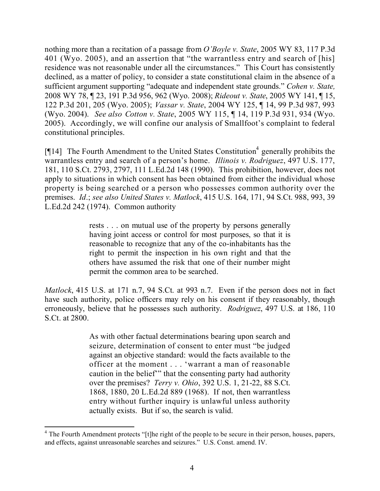nothing more than a recitation of a passage from *O'Boyle v. State*, 2005 WY 83, 117 P.3d 401 (Wyo. 2005), and an assertion that "the warrantless entry and search of [his] residence was not reasonable under all the circumstances." This Court has consistently declined, as a matter of policy, to consider a state constitutional claim in the absence of a sufficient argument supporting "adequate and independent state grounds." *Cohen v. State,* 2008 WY 78, ¶ 23, 191 P.3d 956, 962 (Wyo. 2008); *Rideout v. State*, 2005 WY 141, ¶ 15, 122 P.3d 201, 205 (Wyo. 2005); *Vassar v. State*, 2004 WY 125, ¶ 14, 99 P.3d 987, 993 (Wyo. 2004). *See also Cotton v. State*, 2005 WY 115, ¶ 14, 119 P.3d 931, 934 (Wyo. 2005). Accordingly, we will confine our analysis of Smallfoot's complaint to federal constitutional principles.

[ $[14]$  The Fourth Amendment to the United States Constitution<sup>4</sup> generally prohibits the warrantless entry and search of a person's home. *Illinois v. Rodriguez*, 497 U.S. 177, 181, 110 S.Ct. 2793, 2797, 111 L.Ed.2d 148 (1990). This prohibition, however, does not apply to situations in which consent has been obtained from either the individual whose property is being searched or a person who possesses common authority over the premises. *Id*.; *see also United States v. Matlock*, 415 U.S. 164, 171, 94 S.Ct. 988, 993, 39 L.Ed.2d 242 (1974). Common authority

> rests . . . on mutual use of the property by persons generally having joint access or control for most purposes, so that it is reasonable to recognize that any of the co-inhabitants has the right to permit the inspection in his own right and that the others have assumed the risk that one of their number might permit the common area to be searched.

*Matlock*, 415 U.S. at 171 n.7, 94 S.Ct. at 993 n.7. Even if the person does not in fact have such authority, police officers may rely on his consent if they reasonably, though erroneously, believe that he possesses such authority. *Rodriguez*, 497 U.S. at 186, 110 S.Ct. at 2800.

> As with other factual determinations bearing upon search and seizure, determination of consent to enter must "be judged against an objective standard: would the facts available to the officer at the moment . . . 'warrant a man of reasonable caution in the belief'" that the consenting party had authority over the premises? *Terry v. Ohio*, 392 U.S. 1, 21-22, 88 S.Ct. 1868, 1880, 20 L.Ed.2d 889 (1968). If not, then warrantless entry without further inquiry is unlawful unless authority actually exists. But if so, the search is valid.

 $\overline{a}$ 

<sup>&</sup>lt;sup>4</sup> The Fourth Amendment protects "[t]he right of the people to be secure in their person, houses, papers, and effects, against unreasonable searches and seizures." U.S. Const. amend. IV.